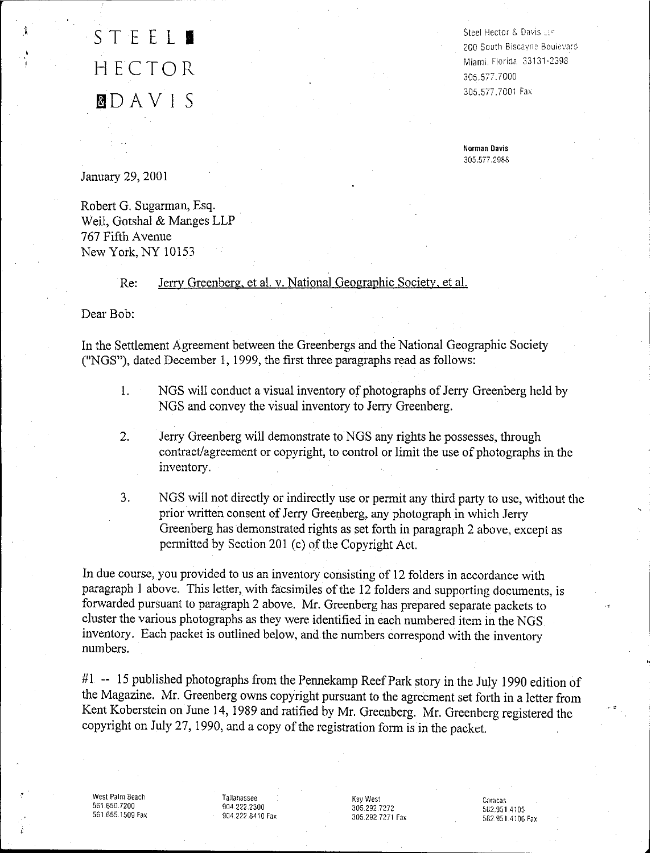### STEEL<sup>1</sup> HECTOR f3DAVIS

Steel Hector & Davis  $\mathbb{H}^p$ 200 South Biscavne Bouievard Miami, Florida 33131-2398 305.577.7000 305.577.7001 Fa>.

**Norman Davis** 305.577.2988

January 29, 2001

Robert G. Sugarman, Esq. Weil, Gotshal & Manges LLP 767 Fifth Avenue New York, NY 10153

Re: Jerry Greenberg, et al. v. National Geographic Society, et al.

Dear Bob:

In the Settlement Agreement between the Greenbergs and the National Geographic Society ("NGS"), dated December I, 1999, the first three paragraphs read as follows:

- 1. NGS will conduct a visual inventory of photographs of Jerry Greenberg held by NGS and convey the visual inventory to Jerry Greenberg.
- 2. Jerry Greenberg will demonstrate to NGS any rights he possesses, through contract/agreement or copyright, to control or limit the use of photographs in the inventory.

3. NGS will not directly or indirectly use or permit any third party to use, without the prior written consent of Jerry Greenberg, any photograph in which Jerry Greenberg has demonstrated rights as set forth in paragraph 2 above, except as permitted by Section 201 (c) of the Copyright Act.

In due course, you provided to us an inventory consisting of 12 folders in accordance with paragraph 1 above. This letter, with facsimiles of the 12 folders and supporting documents, is forwarded pursuant to paragraph 2 above. Mr. Greenberg has prepared separate packets to cluster the various photographs as they were identified in each numbered item in the NGS inventory. Each packet is outlined below, and the numbers correspond with the inventory numbers.

#1 -- 15 published photographs from the Pennekamp Reef Park story in the July 1990 edition of the Magazine. Mr. Greenberg owns copyright pursuant to the agreement set forth in a letter from Kent Koberstein on June 14, 1989 and ratified by Mr. Greenberg. Mr. Greenberg registered the copyright on July 27, 1990, and a copy of the registration form is in the packet.

West **Palm** Beach 561.650.7200 561.655.1509 Fax

Tallahassee 904.222.2300 904.222.8410 Fax Key West 305.2927272 305,2927271 Fax

Caracas 582,951.4105 582,951.410G Fax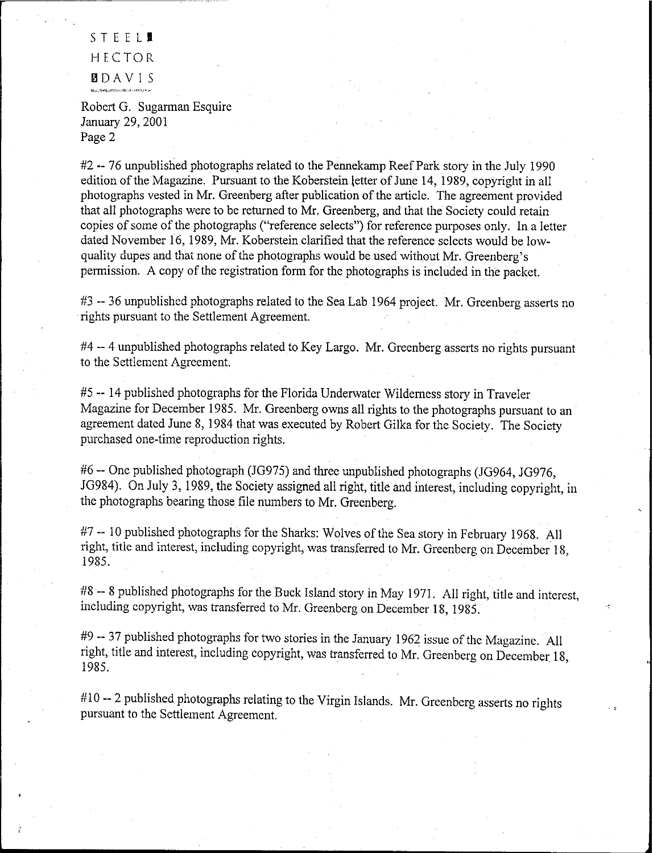STEEL**1** HECTOR **BDAVIS**<br>Isocratocondicities and property

Robert G. Sugarman Esquire January 29, 2001 Page 2

#2 --76 unpublished photographs related to the Pennekamp Reef Park story in the July 1990 edition of the Magazine. Pursuant to the Koberstein letter of June 14, 1989, copyright in all photographs vested in Mr. Greenberg after publication of the article. The agreement provided that all photographs were to be returned to Mr. Greenberg, and that the Society could retain copies of some of the photographs ("reference selects") for reference purposes only. In a letter dated November 16, 1989, Mr. Koberstein clarified that the reference selects would be lowquality dupes and that none of the photographs would be used without Mr. Greenberg's permission. A copy of the registration form for the photographs is included in the packet.

#3 -- 36 unpublished photographs related to the Sea Lab 1964 project. Mr. Greenberg asserts no rights pursuant to the Settlement Agreement.

#4 -- 4 unpublished photographs related to Key Largo. Mr. Greenberg asserts no rights pursuant to the Settlement Agreement.

#5 **--** 14 published photographs for the Florida Underwater Wilderness story in Traveler Magazine for December 1985. Mr. Greenberg owns all rights to the photographs pursuant to an agreement dated June 8, 1984 that was executed by Robert Gilka for the Society. The Society purchased one-time reproduction rights.

#6 -- One published photograph (1G975) and three unpublished photographs (JG964, JG976, JG984). On July 3,1989, the Society assigned all right, title and interest, including copyright, in the photographs bearing those file numbers to Mr. Greenberg.

#7 -- 10 published photographs for the Sharks: Wolves of the Sea story in February 1968. All right, title and interest, including copyright, was transferred to Mr. Greenberg on December 18, 1985.

#8 -- 8 published photographs for the Buck Island story in May 1971. All right, title and interest, including copyright, was transferred to Mr. Greenberg on December 18, 1985.

#9 -- 37 published photographs for two stories in the January 1962 issue of the Magazine. All right, title and interest, including copyright, was transferred to Mr. Greenberg on December 18, 1985.

#10 **--** 2 published photographs relating to the Virgin Islands. Mr. Greenberg asserts no rights pursuant to the Settlement Agreement.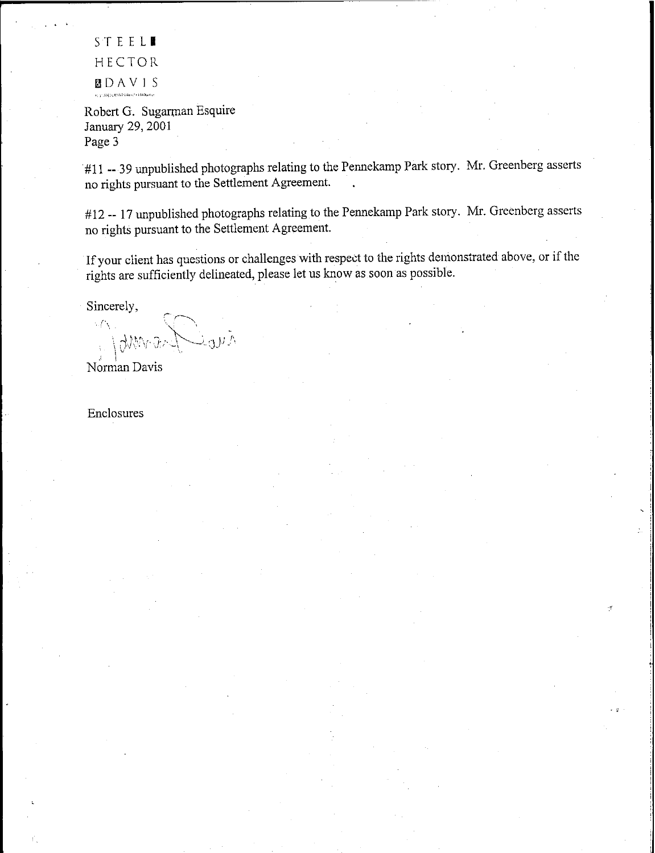STEELI HECTOR **BDAVIS** 

Robert G. Sugarman Esquire January 29, 2001 Page 3

#11 **--** 39 unpublished photographs relating to the Pennekamp Park story. Mr. Greenberg asserts no rights pursuant to the Settlement Agreement.

#12 -- 17 unpublished photographs relating to the Pennekamp Park story. Mr. Greenberg asserts no rights pursuant to the Settlement Agreement.

If your client has questions or challenges with respect to the rights demonstrated above, or if the rights are sufficiently delineated, please let us know as soon as possible.

·

,.

Sincerely,

;'r-~  $\sim$  f  $\sim$  $\sim$ Norman Davis

Enclosures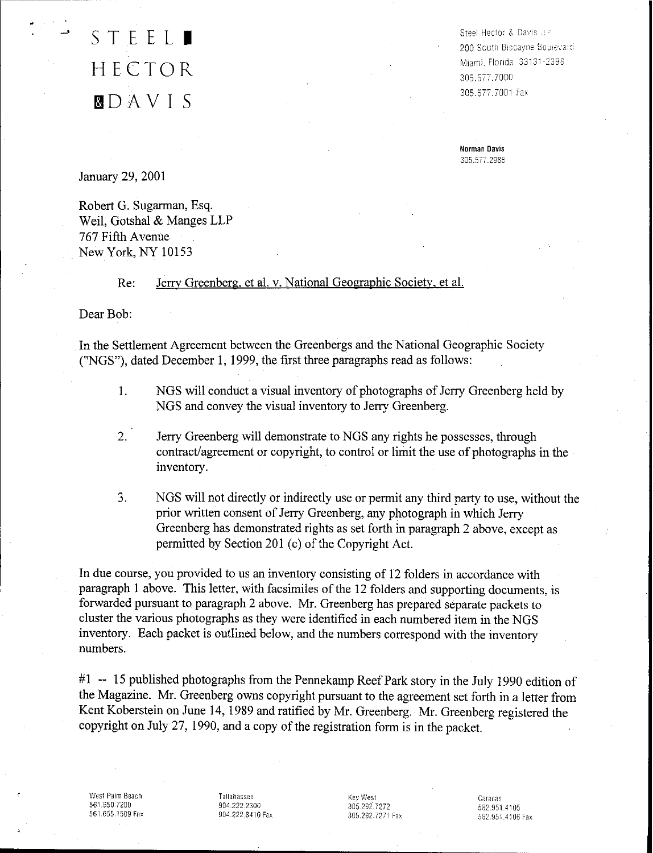### STEEL. HECTOR gDA V I S

Steel Hector & Davis .: e 200 South Biscayne Boujevard Miami, FlOrida 3313l-239B 305.577.7000 305.577.7001 Fax

**Norman Davis** 305.577.2988

January 29, 2001

Robert G. Sugarman, Esq. Weil, Gotshal & Manges LLP 767 Fifth Avenue New York, NY 10153

#### Re: Jerry Greenberg. et al. v. National Geographic Society, et al.

Dear Bob:

In the Settlement Agreement between the Greenbergs and the National Geographic Society ("NGS"), dated December I, 1999, the first three paragraphs read as follows:

- 1. NGS will conduct a visual inventory of photographs of Jerry Greenberg held by NGS and convey the visual inventory to Jerry Greenberg.
- 2. Jerry Greenberg will demonstrate to NGS any rights he possesses, through contract/agreement or copyright, to control or limit the use of photographs in the inventory.
- 3. NGS will not directly or indirectly use or permit any third party to use, without the prior written consent of Jerry Greenberg, any photograph in which Jerry Greenberg has demonstrated rights as set forth in paragraph 2 above, except as permitted by Section 201 $(c)$  of the Copyright Act.

In due course, you provided to us an inventory consisting of 12 folders in accordance with paragraph 1 above. This letter, with facsimiles of the 12 folders and supporting documents, is forwarded pursuant to paragraph 2 above. Mr. Greenberg has prepared separate packets to cluster the various photographs as they were identified in each numbered item in the NGS inventory. Each packet is outlined below, and the numbers correspond with the inventory numbers.

#I -- 15 published photographs from the Pennekamp Reef Park story in the July 1990 edition of the Magazine. Mr. Greenberg owns copyright pursuant to the agreement set forth in a letter from Kent Koberstein on June 14, 1989 and ratified by Mr. Greenberg. Mr. Greenberg registered the copyright on July 27, 1990, and a copy of the registration form is in the packet.

West Palm Beach 561.650.7200 561,655,1509 Fax

Tallahassee 904.222,2300 904.222,8410 Fax KeyWest 305.292.7272 305.292.7271 Fax Caracas 582,951.4105 582,951.4106 Fax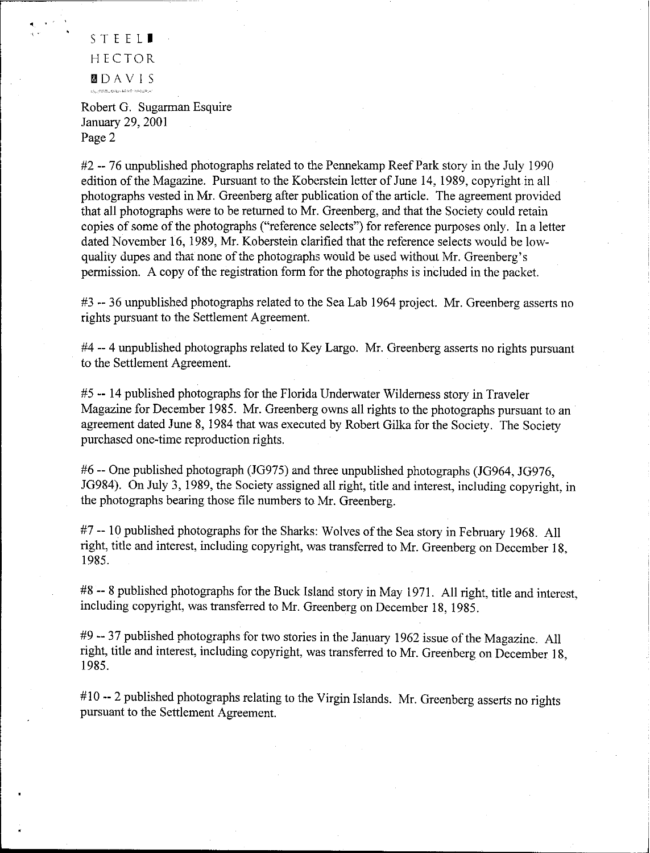STEEL<sup>1</sup> HECTOR IilOA V IS

· ,"

Robert G. Sugarman Esquire January 29, 2001 Page 2

#2 -- 76 unpublished photographs related to the Pennekamp Reef Park story in the July 1990 edition of the Magazine. Pursuant to the Koberstein letter of June 14, 1989, copyright in all photographs vested in Mr. Greenberg after publication of the article. The agreement provided that all photographs were to be returned to Mr. Greenberg, and that the Society could retain copies of some of the photographs ("reference selects") for reference purposes only. In a letter dated November 16, 1989, Mr. Koberstein clarified that the reference selects would be lowquality dupes and that none of the photographs would be used without Mr. Greenberg's permission. A copy of the registration form for the photographs is included in the packet.

#3 -- 36 unpublished photographs related to the Sea Lab 1964 project. Mr. Greenberg asserts no rights pursuant to the Settlement Agreement.

#4 -- 4 unpublished photographs related to Key Largo. Mr. Greenberg asserts no rights pursuant to the Settlement Agreement.

#5 -- 14 published photographs for the Florida Underwater Wilderness story in Traveler Magazine for December 1985. Mr. Greenberg owns all rights to the photographs pursuant to an agreement dated June 8, 1984 that was executed by Robert Gilka for the Society. The Society purchased one-time reproduction rights.

#6 -- One published photograph (JG975) and three unpublished photographs (JG964, JG976, JG984). On July 3, 1989, the Society assigned all right, title and interest, including copyright, in the photographs bearing those file numbers to Mr. Greenberg.

#7 -- 10 published photographs for the Sharks: Wolves of the Sea story in February 1968. All right, title and interest, including copyright, was transferred to Mr. Greenberg on December 18, 1985.

#8 -- 8 published photographs for the Buck Island story in May 1971. All right, title and interest, including copyright, was transferred to Mr. Greenberg on December 18, 1985.

#9 -- 37 published photographs for two stories in the January 1962 issue of the Magazine. All right, title and interest, including copyright, was transferred to Mr. Greenberg on December 18, 1985.

#10 -- 2 published photographs relating to the Virgin Islands. Mr. Greenberg asserts no rights pursuant to the Settlement Agreement.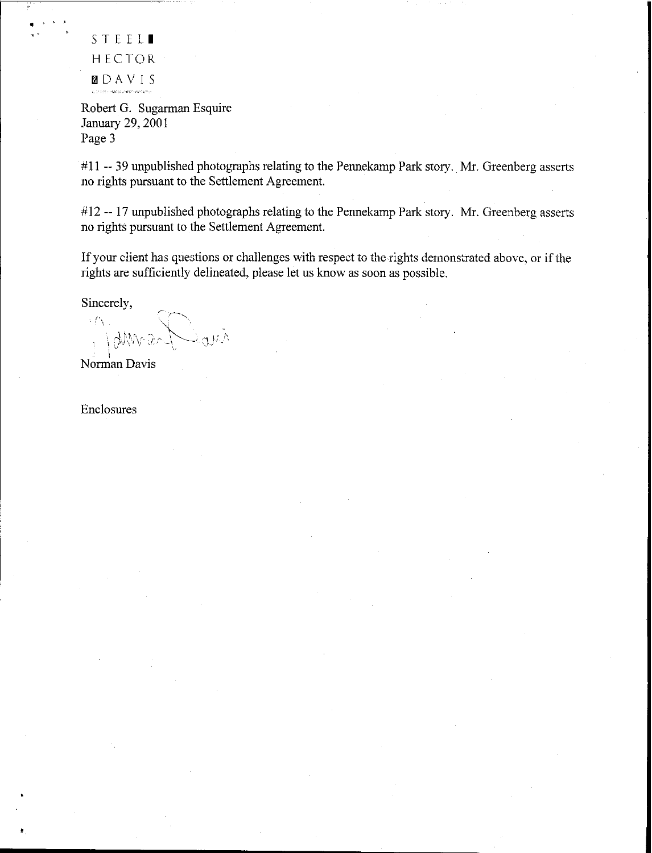STEEL<sup>1</sup> HECTOR  $\sum_{\text{currents}}\Delta\text{V}$  IS

• •

Robert G. Sugarman Esquire January 29, 2001 Page 3

 $#11 - 39$  unpublished photographs relating to the Pennekamp Park story. Mr. Greenberg asserts no rights pursuant to the Settlement Agreement

#12 -- 17 unpublished photographs relating to the Pennekamp Park story. Mr. Greenberg asserts no rights pursuant to the Settlement Agreement

If your client has questions or challenges with respect to the rights demonstrated above, or if the rights are sufficiently delineated, please let us know as soon as possible.

Sincerely,

 $\subset$   $\sim$ egy.)

Norman Davis

Enclosures

..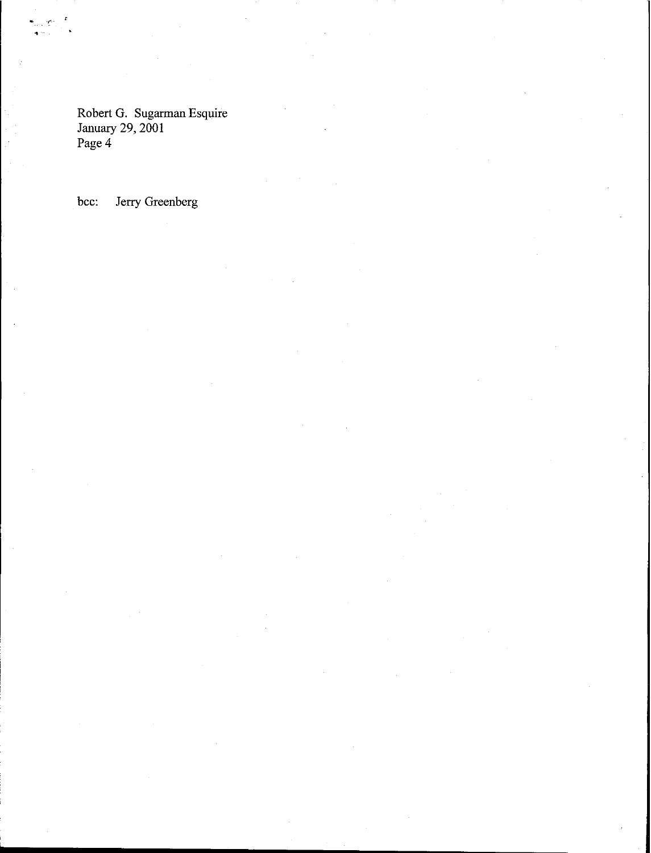Robert G. Sugarman Esquire January 29, 2001 Page 4

bee: Jerry Greenberg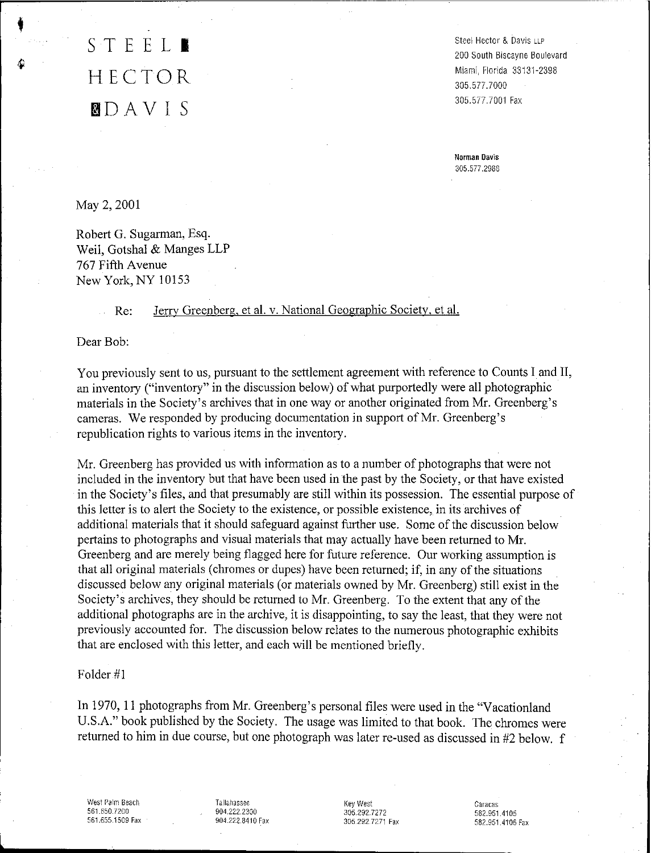### STEEL<sup>1</sup> HECTOR **DD** A V I S

Steel Hector & Davis LLP 200 South Biscayne Boulevard Miami, Florida 33131-2398 305.577.7000 305.577.7001 Fax

**Norman Davis** 305.577.2988

May 2, 2001

Robert G. Sugarman, Esq. Weil, Gotshal & Manges LLP 767 Fifth Avenue New York, NY 10153

#### Re: Jerry Greenberg, et al. v. National Geographic Society, et al.

Dear Bob:

You previously sent to us, pursuant to the settlement agreement with reference to Counts I and II, an inventory ("inventory" in the discussion below) of what purportedly were all photographic materials in the Society's archives that in one way or another originated from Mr. Greenberg's cameras. We responded by producing documentation in support of Mr. Greenberg's republication rights to various items in the inventory.

Mr. Greenberg has provided us with information as to a number of photographs that were not included in the inventory but that have been used in the past by the Society, or that have existed in the Society's files, and that presumably are still within its possession. The essential purpose of this letter is to alert the Society to the existence, or possible existence, in its archives of additional materials that it should safeguard against further use. Some of the discussion below pertains to photographs and visual materials that may actually have been returned to Mr. Greenberg and are merely being flagged here for future reference. Our working assumption is that all original materials (chromes or dupes) have been returned; if, in any of the situations discussed below any original materials (or materials owned by Mr. Greenberg) still exist in the Society's archives, they should be returned to Mr. Greenberg. To the extent that any of the additional photographs are in the archive, it is disappointing, to say the least, that they were not previously accounted for. The discussion below relates to the numerous photographic exhibits that are enclosed with this letter, and each will be mentioned briefly.

Folder #1

In 1970, II photographs from Mr. Greenberg's personal files were used in the "Vacationland U.S.A." book published by the Society, The usage was limited to that book. The chromes were returned to him in due course, but one photograph was later re-used as discussed in #2 below. f

West Palm Beach 561.650.7200 561.655.1509 Fax Tallahassee 904.222.2300 904.222.8410 Fax

**l \_**

Key West 305.292.7272 305,292,7271 Fax

Caracas 582.951.4105 582.951.4106 Fax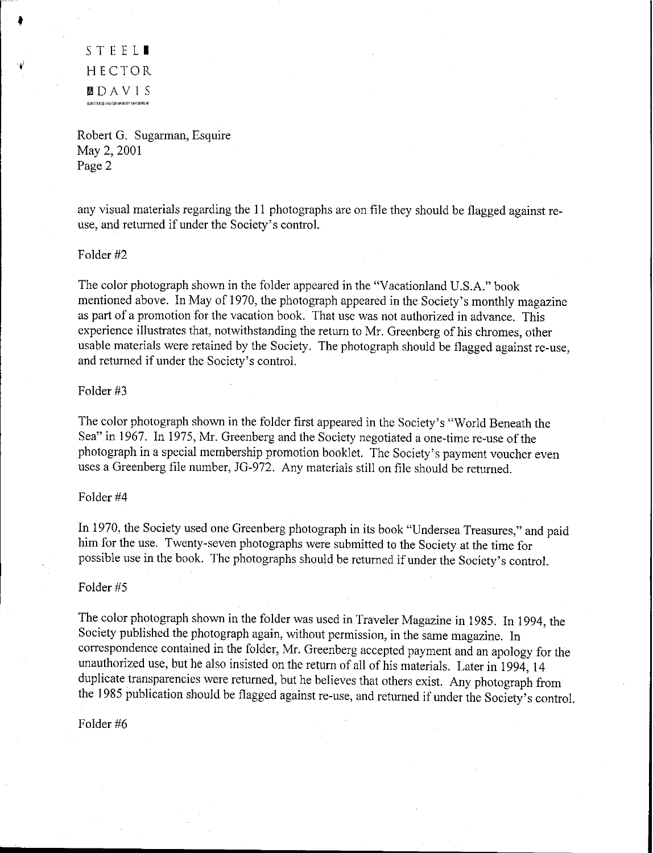STEEL<sup>1</sup> HECTOR filDAVIS .<br>In the tree of linking of langua it you an interfered that the purpose of the system of the state of the state i

Robert G. Sugarman, Esquire May 2, 2001 Page 2

any visual materials regarding the 11 photographs are on file they should be flagged against reuse, and returned if under the Society's control.

#### Folder #2

The color photograph shown in the folder appeared in the "Vacationland U.S.A." book mentioned above. In May of 1970, the photograph appeared in the Society's monthly magazine as part of a promotion for the vacation book. That use was not authorized in advance. This experience illustrates that, notwithstanding the return to Mr. Greenberg of his chromes, other usable materials were retained by the Society. The photograph should be flagged against re-use, and returned if under the Society's control.

#### Folder #3

The color photograph shown in the folder first appeared in the Society's "World Beneath the Sea" in 1967. In 1975, Mr. Greenberg and the Society negotiated a one-time re-use of the photograph in a special membership promotion booklet. The Society's payment voucher even uses a Greenberg file number, JG-972. Any materials still on file should be returned.

#### Folder #4

In 1970, the Society used one Greenberg photograph in its book "Undersea Treasures," and paid him for the use. Twenty-seven photographs were submitted to the Society at the time for possible use in the book. The photographs should be returned if under the Society's control.

#### Folder #5

The color photograph shown in the folder was used in Traveler Magazine in 1985. In 1994, the Society published the photograph again, without permission, in the same magazine. In correspondence contained in the folder, Mr. Greenberg accepted payment and an apology for the unauthorized use, but he also insisted on the return of all of his materials. Later in 1994, 14 duplicate transparencies were returned, but he believes that others exist. Any photograph from the 1985 publication should be flagged against re-use, and returned if under the Society's control.

Folder #6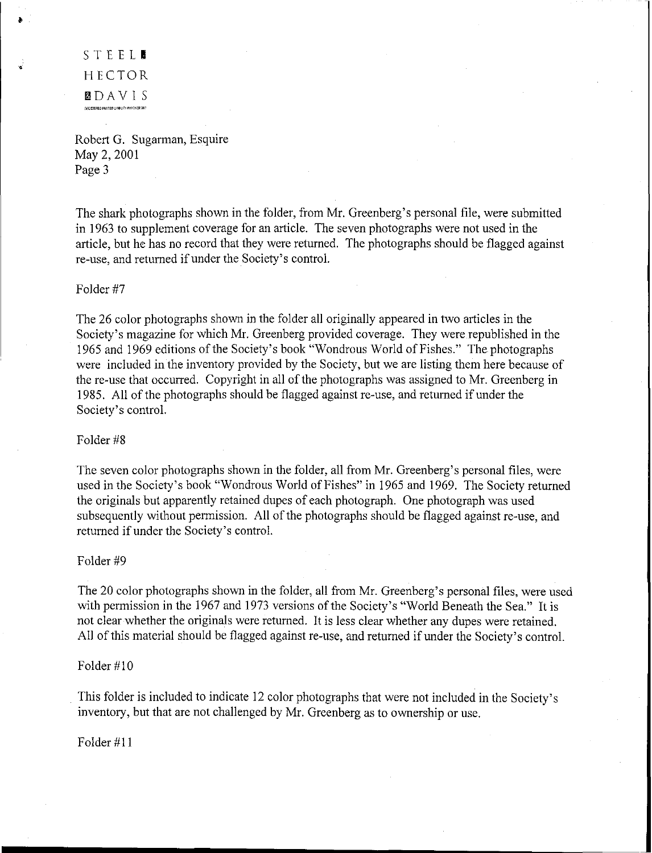STEEL. HECTOR **BDAVIS** 

Robert G. Sugarman, Esquire May 2, 2001 Page 3

The shark photographs shown in the folder, from Mr. Greenberg's personal file, were submitted in 1963 to supplement coverage for an article. The seven photographs were not used in the article, but he has no record that they were returned. The photographs should be flagged against re-use, and returned if under the Society's control.

#### Folder #7

The 26 color photographs shown in the folder all originally appeared in two articles in the Society's magazine for which Mr. Greenberg provided coverage. They were republished in the 1965 and 1969 editions ofthe Society's book "Wondrous World of Fishes." The photographs were included in the inventory provided by the Society, but we are listing them here because of the re-use that occurred. Copyright in all of the photographs was assigned to Mr. Greenberg in 1985. All of the photographs should be flagged against re-use, and returned if under the Society's control.

#### Folder #8

The seven color photographs shown in the folder, all from Mr. Greenberg's personal files, were used in the Society's book "Wondrous World of Fishes" in 1965 and 1969. The Society returned the originals but apparently retained dupes of each photograph. One photograph was used subsequently without permission. All of the photographs should be flagged against re-use, and returned if under the Society's control.

#### Folder #9

The 20 color photographs shown in the folder, all from Mr. Greenberg's personal files, were used with permission in the 1967 and 1973 versions of the Society's "World Beneath the Sea." It is not clear whether the originals were returned. It is less clear whether any dupes were retained. All of this material should be flagged against re-use, and returned if under the Society's control.

#### Folder #10

This folder is included to indicate 12 color photographs that were not included in the Society's inventory, but that are not challenged by Mr. Greenberg as to ownership or use.

Folder #11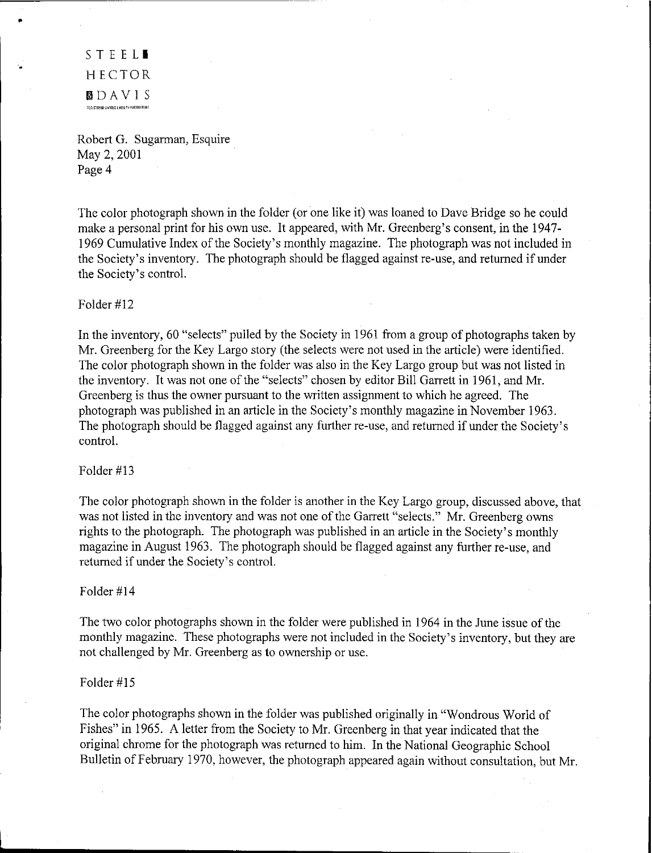STEEL**I** HECTOR filDAVIS "l",-,EREOlIwmOLIOiILITYPARmf""Ir

•

Robert G. Sugarman, Esquire May 2, 2001 Page 4

The color photograph shown in the folder (or one like it) was loaned to Dave Bridge so he could make a personal print for his own use. It appeared, with Mr. Greenberg's consent, in the 1947- 1969 Cumulative Index of the Society's monthly magazine. The photograph was not included in the Society's inventory. The photograph should be flagged against re-use, and returned if under the Society's control.

#### Folder #12

In the inventory, 60 "selects" pulled by the Society in 1961 from a group of photographs taken by Mr. Greenberg for the Key Largo story (the selects were not used in the article) were identified. The color photograph shown in the folder was also in the Key Largo group but was not listed in the inventory. It was not one of the "selects" chosen by editor Bill Garrett in 1961, and Mr. Greenberg is thus the owner pursuant to the written assignment to which he agreed. The photograph was published in an article in the Society's monthly magazine in November 1963. The photograph should be flagged against any further re-use, and returned if under the Society's control.

#### Folder #13

The color photograph shown in the folder is another in the Key Largo group, discussed above, that was not listed in the inventory and was not one of the Garrett "selects." Mr. Greenberg owns rights to the photograph. The photograph was published in an article in the Society's monthly magazine in August 1963. The photograph should be flagged against any further re-use, and returned if under the Society's control.

#### Folder #14

The two color photographs shown in the folder were published in 1964 in the June issue of the monthly magazine. These photographs were not included in the Society's inventory, but they are not challenged by Mr. Greenberg as to ownership or use.

#### Folder #15

The color photographs shown in the folder was published originally in "Wondrous World of Fishes" in 1965. A letter from the Society to Mr. Greenberg in that year indicated that the original chrome for the photograph was returned to him. In the National Geographic School Bulletin of February 1970, however, the photograph appeared again without consultation, but Mr.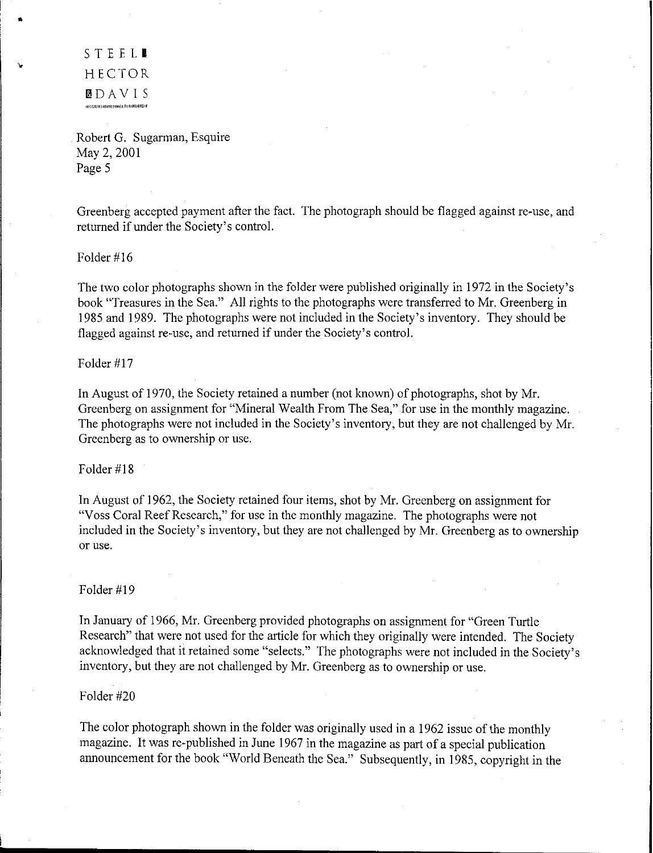STEEL. HECTOR **B**DAVIS<br>Hassterburinted.uasuuty.partarashif

,.

"

Robert G. Sugarman, Esquire May 2, 2001 Page 5

Greenberg accepted payment after the fact. The photograph should be flagged against re-use, and returned if under the Society's control.

Folder #16

The two color photographs shown in the folder were published originally in 1972 in the Society's book "Treasures in the Sea." All rights to the photographs were transferred to Mr. Greenberg in 1985 and 1989. The photographs were not included in the Society's inventory. They should be flagged against re-use, and returned if under the Society's control.

Folder #17

In August of 1970, the Society retained a number (not known) of photographs, shot by Mr. Greenberg on assignment for "Mineral Wealth From The Sea," for use in the monthly magazine. The photographs were not included in the Society's inventory, but they are not challenged by Mr. Greenberg as to ownership or use.

Folder #18

In August of 1962, the Society retained four items, shot by Mr. Greenberg on assignment for "Voss Coral Reef Research," for use in the monthly magazine. The photographs were not included in the Society's inventory, but they are not challenged by Mr. Greenberg as to ownership or use.

Folder #19

In January of 1966, Mr. Greenberg provided photographs on assignment for "Green Turtle Research" that were not used for the article for which they originally were intended. The Society acknowledged that it retained some "selects." The photographs were not included in the Society's inventory, but they are not challenged by Mr. Greenberg as to ownership or use.

Folder #20

The color photograph shown in the folder was originally used in a 1962 issue of the monthly magazine. It was re-published in June 1967 in the magazine as part of a special publication announcement for the book "World Beneath the Sea." Subsequently, in 1985, copyright in the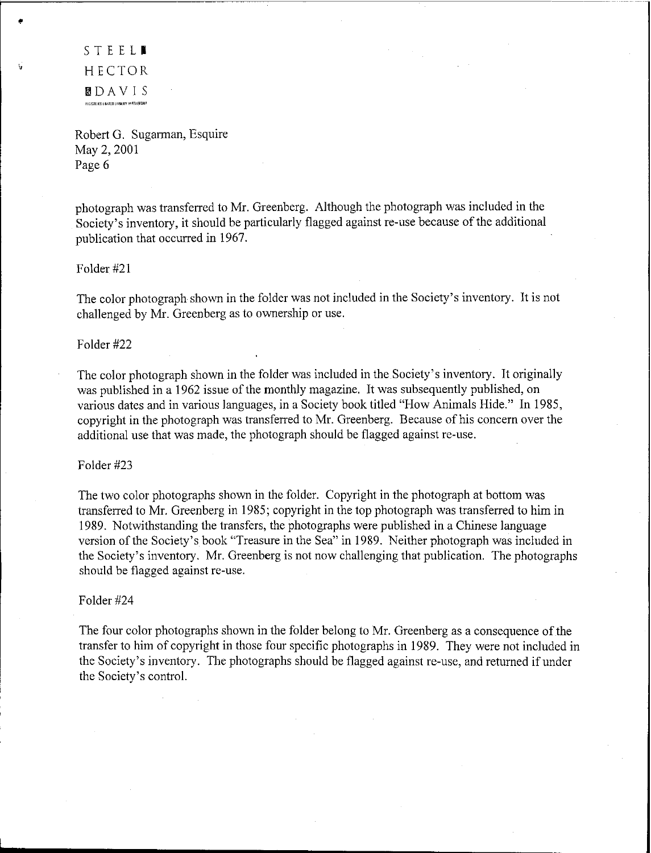STEEL. HECTOR **MDAVIS**<br><sub>maistriko.unataliasauri farikasishir</sub>

•

Robert G. Sugarman, Esquire May 2, 2001 Page 6

photograph was transferred to Mr. Greenberg. Although the photograph was included in the Society's inventory, it should be particularly flagged against re-use because of the additional publication that occurred in 1967.

#### Folder #21

The color photograph shown in the folder was not included in the Society's inventory. It is not challenged by Mr. Greenberg as to ownership or use.

#### Folder #22

The color photograph shown in the folder was included in the Society's inventory. It originally was published in a 1962 issue of the monthly magazine. It was subsequently published, on various dates and in various languages, in a Society book titled "How Animals Hide." In 1985, copyright in the photograph was transferred to Mr. Greenberg. Because of his concern over the additional use that was made, the photograph should be flagged against re-use.

#### Folder #23

The two color photographs shown in the folder. Copyright in the photograph at bottom was transferred to Mr. Greenberg in 1985; copyright in the top photograph was transferred to him in 1989. Notwithstanding the transfers, the photographs were published in a Chinese language version of the Society's book "Treasure in the Sea" in 1989. Neither photograph was included in the Society's inventory. Mr. Greenberg is not now challenging that publication. The photographs should be flagged against re-use.

#### Folder #24

The four color photographs shown in the folder belong to Mr. Greenberg as a consequence of the transfer to him of copyright in those four specific photographs in 1989. They were not included in the Society's inventory. The photographs should be flagged against re-use, and returned if under the Society's control.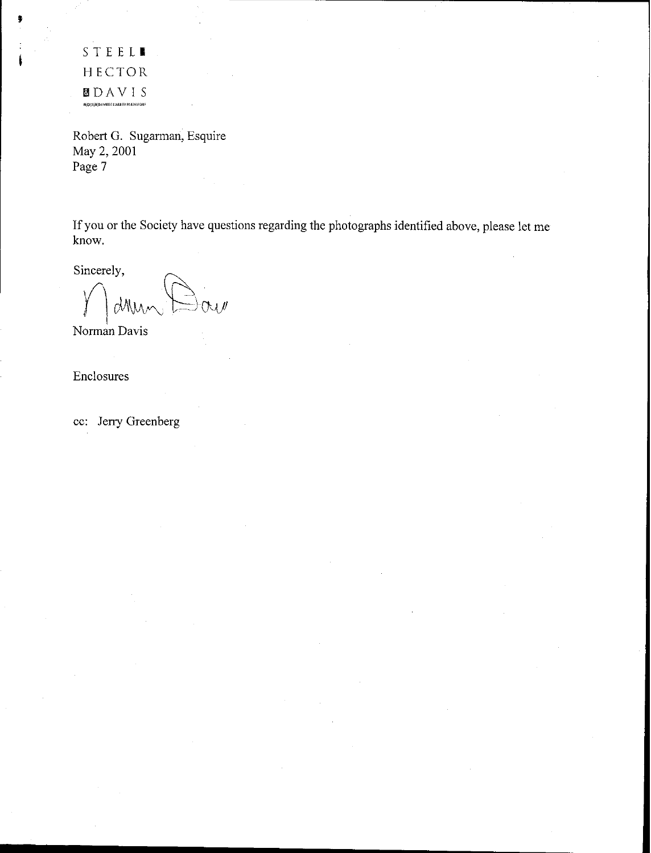STEEL**I** HECTOR lilDAVIS .<br>"G'C'ISAE'AED'I IMITERI LIABARTY PARTNERSAIP

,

Robert G. Sugarman, Esquire May 2, 2001 Page 7

If you or the Society have questions regarding the photographs identified above, please let me know.

Sincerely,

*I* | MMM DAV<br>Norman Davis

Enclosures

cc: Jerry Greenberg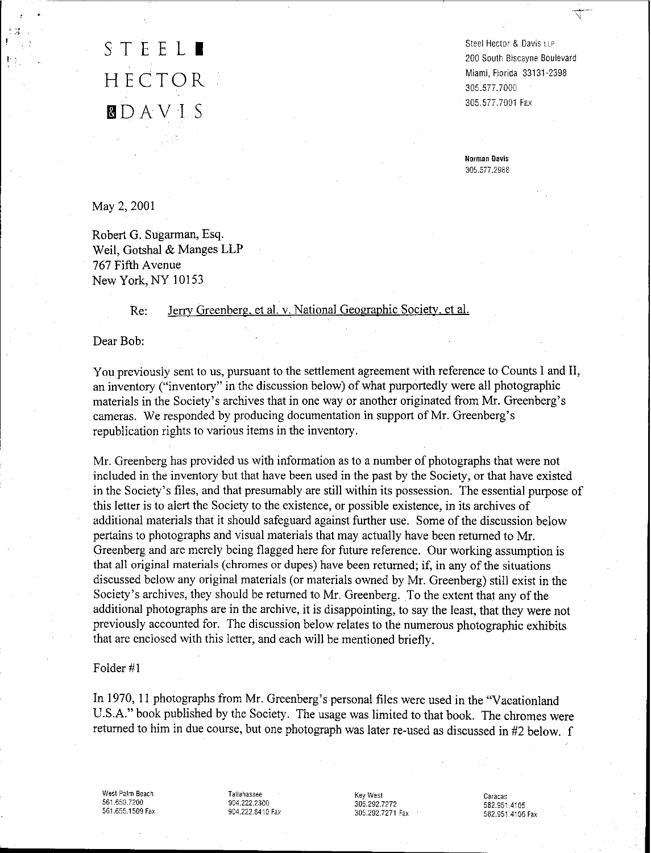## STEEL<sup>1</sup> HECTOR DDAV 1 S

Steel Hector & Davis LLP 200 South Biscayne Boulevard Miami, Florida 33131-2398 305.577.7000 305.577.7001 Fax

₹

**Norman Davis** 305.577.2988

May 2, 2001

.,.. ...-.

Robert G. Sugarman, Esq. Weil, Gotshal & Manges LLP 767 Fifth Avenue New York, NY 10153

#### Re: Jerry Greenberg, et al. v. National Geographic Society, et al.

Dear Bob:

You previously sent to us, pursuant to the settlement agreement with reference to Counts 1and II, an inventory ("inventory" in the discussion below) of what purportedly were all photographic materials in the Society's archives that in one way or another originated from Mr. Greenberg's cameras. We responded by producing documentation in support of Mr. Greenberg's republication rights to various items in the inventory.

Mr. Greenberg has provided us with information as to a number of photographs that were not included in the inventory but that have been used in the past by the Society, or that have existed in the Society's files, and that presumably are still within its possession. The essential purpose of this letter is to alert the Society to the existence, or possible existence, in its archives of additional materials that it should safeguard against further use. Some of the discussion below pertains to photographs and visual materials that may actually have been returned to Mr. Greenberg and are merely being flagged here for future reference. Our working assumption is that all original materials (chromes or dupes) have been returned; if, in any of the situations discussed below any original materials (or materials owned by Mr. Greenberg) still exist in the Society's archives, they should be returned to Mr. Greenberg. To the extent that any of the additional photographs are in the archive, it is disappointing, to say the least, that they were not previously accounted for. The discussion below relates to the numerous photographic exhibits that are enclosed with this letter, and each will be mentioned briefly.

#### Folder #1

In 1970, II photographs from Mr. Greenberg's personal files were used in the "Vacationland U.S.A." book published by the Society. The usage was limited to that book. The chromes were returned to him in due course, but one photograph was later re-used as discussed in #2 below. f

West Palm Beach 561.650.7200 561.655.1509 Fax Tallahassee 904.222.2300 904.222.8410 Fax

Key West 305.292.7272 305.292.7271 Fax Caracas 582.9514105 582.951.4106 Fax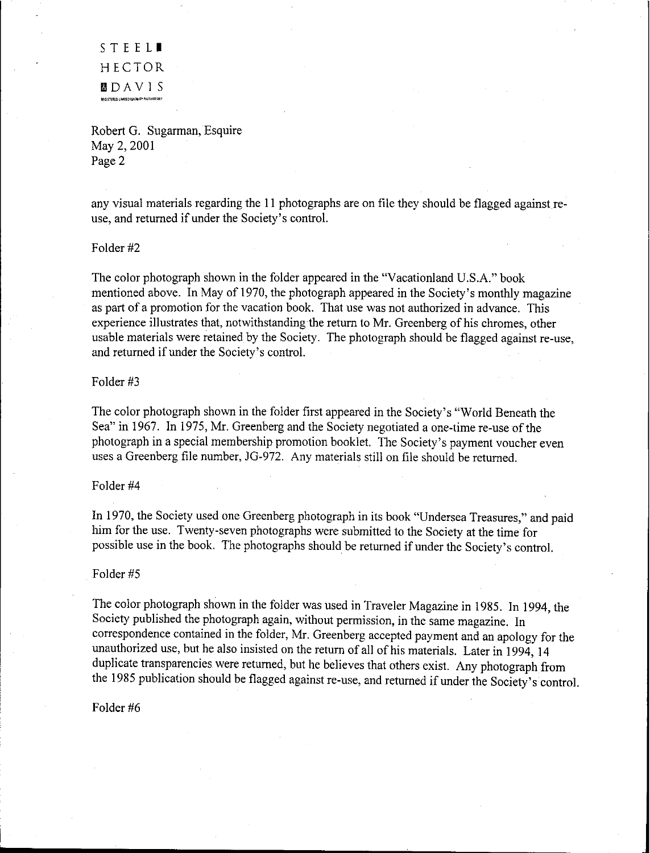STEELI HECTOR I3DAVIS RICISTERED LIMITED LABBITY PARTMERS

Robert G. Sugarman, Esquire May 2, 2001 Page 2

any visual materials regarding the 11 photographs are on file they should be flagged against reuse, and returned if under the Society's control.

Folder #2

The color photograph shown in the folder appeared in the "Vacationland U.S.A." book mentioned above. In May of 1970, the photograph appeared in the Society's monthly magazine as part of a promotion for the vacation book. That use was not authorized in advance. This experience illustrates that, notwithstanding the return to Mr. Greenberg of his chromes, other usable materials were retained by the Society. The photograph should be flagged against re-use, and returned if under the Society's control.

#### Folder #3

The color photograph shown in the folder first appeared in the Society's "World Beneath the Sea" in 1967. In 1975, Mr. Greenberg and the Society negotiated a one-time re-use of the photograph in a special membership promotion booklet. The Society's payment voucher even uses a Greenberg file number, JG-972. Any materials still on file should be returned.

#### Folder #4

In 1970, the Society used one Greenberg photograph in its book "Undersea Treasures," and paid him for the use. Twenty-seven photographs were submitted to the Society at the time for possible use in the book. The photographs should be returned if under the Society's control.

#### Folder #5

The color photograph shown in the folder was used in Traveler Magazine in 1985. In 1994, the Society published the photograph again, without permission, in the same magazine. In correspondence contained in the folder, Mr. Greenberg accepted payment and an apology for the unauthorized use, but he also insisted on the return of all of his materials. Later in 1994, 14 duplicate transparencies were returned, but he believes that others exist. Any photograph from the 1985 publication should be flagged against re-use, and returned if under the Society's control.

#### Folder #6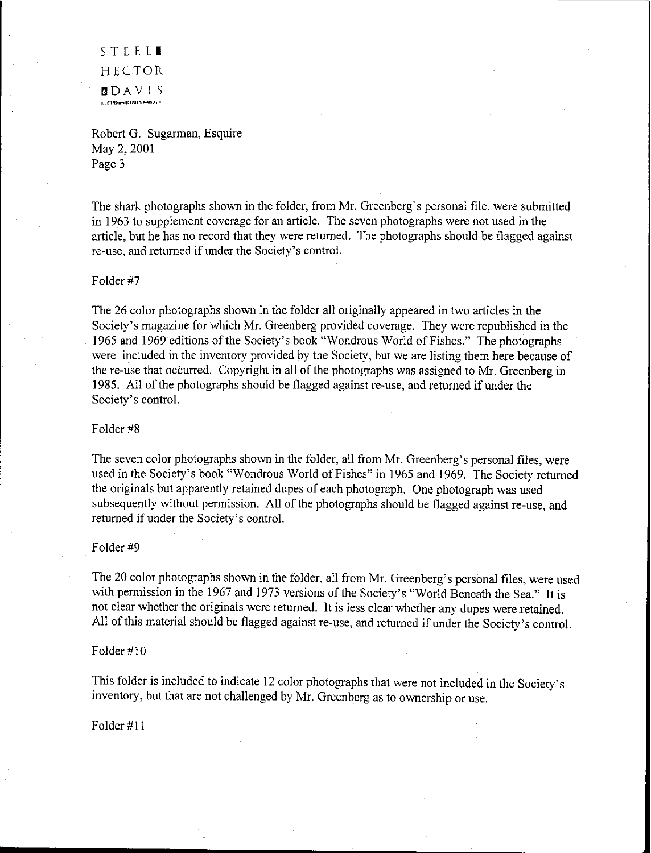STEELI HECTOR **b** D A V I S<br>Registrald linalis d'ilabrity partnership

Robert G. Sugarman, Esquire May 2, 2001 Page 3

The shark photographs shown in the folder, from Mr. Greenberg's personal file, were submitted in 1963 to supplement coverage for an article. The seven photographs were not used in the article, but he has no record that they were returned. The photographs should be flagged against re-use, and returned if under the Society's control.

#### Folder #7

The 26 color photographs shown in the folder all originally appeared in two articles in the Society's magazine for which Mr. Greenberg provided coverage. They were republished in the 1965 and 1969 editions of the Society's book "Wondrous World of Fishes." The photographs were included in the inventory provided by the Society, but we are listing them here because of the re-use that occurred. Copyright in all of the photographs was assigned to Mr. Greenberg in 1985. All of the photographs should be flagged against re-use, and returned if under the Society's control.

#### Folder #8

The seven color photographs shown in the folder, all from Mr. Greenberg's personal files, were used in the Society's book "Wondrous World of Fishes" in 1965 and 1969. The Society returned the originals but apparently retained dupes of each photograph. One photograph was used subsequently without permission. All of the photographs should be flagged against re-use, and returned if under the Society's control.

#### Folder #9

The 20 color photographs shown in the folder, all from Mr. Greenberg's personal files, were used with permission in the 1967 and 1973 versions of the Society's "World Beneath the Sea." It is not clear whether the originals were returned. It is less clear whether any dupes were retained. All of this material should be flagged against re-use, and returned if under the Society's control.

#### Folder #10

This folder is included to indicate 12 color photographs that were not included in the Society's inventory, but that are not challenged by Mr. Greenberg as to ownership or use.

Folder #11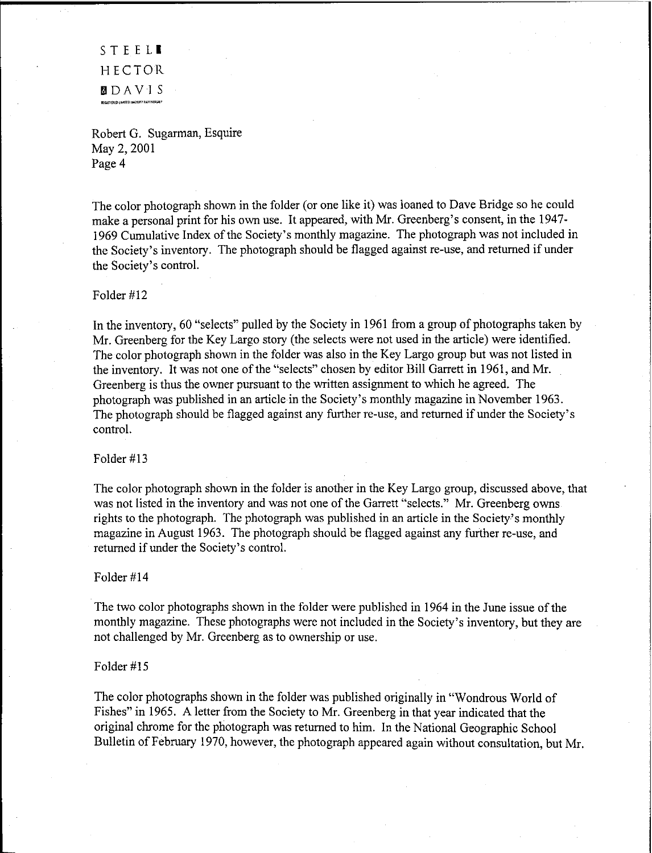STEELI HECTOR llDAVIS **BEGISTERED IN ITED HABILIT** 

Robert G. Sugarman, Esquire May 2, 2001 Page 4

The color photograph shown in the folder (or one like it) was loaned to Dave Bridge so he could make a personal print for his own use. It appeared, with Mr. Greenberg's consent, in the 1947- 1969 Cumulative Index of the Society's monthly magazine. The photograph was not included in the Society's inventory. The photograph should be flagged against re-use, and returned if under the Society's control.

#### Folder #12

In the inventory, 60 "selects" pulled by the Society in 1961 from a group of photographs taken by Mr. Greenberg for the Key Largo story (the selects were not used in the article) were identified. The color photograph shown in the folder was also in the Key Largo group but was not listed in the inventory. It was not one of the "selects" chosen by editor Bill Garrett in 1961, and Mr. Greenberg is thus the owner pursuant to the written assignment to which he agreed. The photograph was published in an article in the Society's monthly magazine in November 1963. The photograph should be flagged against any further re-use, and returned if under the Society's control.

#### Folder #13

The color photograph shown in the folder is another in the Key Largo group, discussed above, that was not listed in the inventory and was not one of the Garrett "selects." Mr. Greenberg owns rights to the photograph. The photograph was published in an article in the Society's monthly magazine in August 1963. The photograph should be flagged against any further re-use, and returned if under the Society's control.

#### Folder #14

The two color photographs shown in the folder were published in 1964 in the June issue of the monthly magazine. These photographs were not included in the Society's inventory, but they are not challenged by Mr. Greenberg as to ownership or use.

#### Folder #15

The color photographs shown in the folder was published originally in "Wondrous World of Fishes" in 1965. A letter from the Society to Mr. Greenberg in that year indicated that the original chrome for the photograph was returned to him. In the National Geographic School Bulletin of February 1970, however, the photograph appeared again without consultation, but Mr.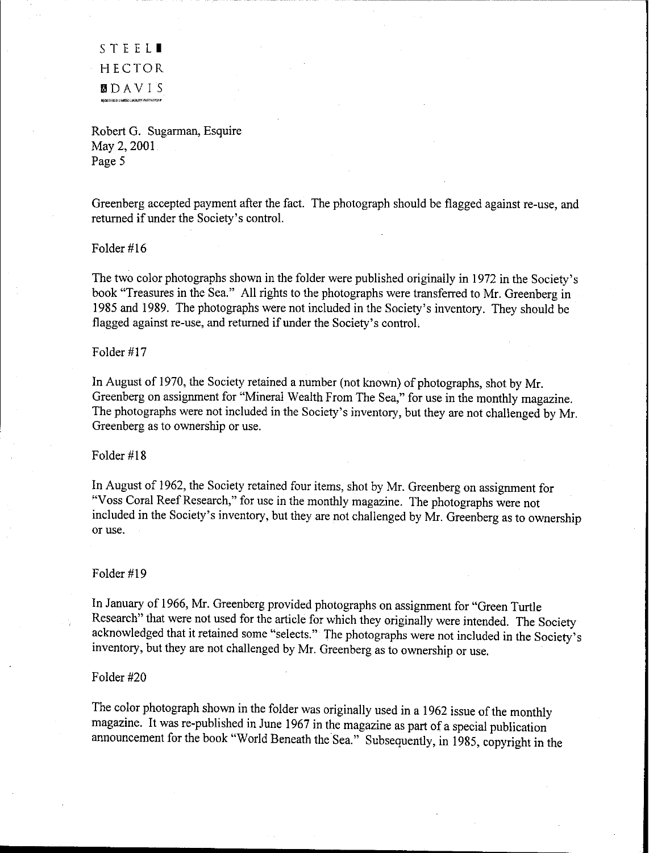STEELI HECTOR **b.** DAVIS<br>Anggregari pungkin pungkun perantik prasilir

Robert G. Sugarman, Esquire May 2, 2001 Page 5

Greenberg accepted payment after the fact. The photograph should be flagged against re-use, and returned if under the Society's control.

#### Folder #16

The two color photographs shown in the folder were published originally in 1972 in the Society's book "Treasures in the Sea." All rights to the photographs were transferred to Mr. Greenberg in 1985 and 1989. The photographs were not included in the Society's inventory. They should be flagged against re-use, and returned if under the Society's control.

#### Folder #17

In August of 1970, the Society retained a number (not known) of photographs, shot by Mr. Greenberg on assignment for "Mineral Wealth From The Sea," for use in the monthly magazine. The photographs were not included in the Society's inventory, but they are not challenged by Mr. Greenberg as to ownership or use.

#### Folder #18

In August of 1962, the Society retained four items, shot by Mr. Greenberg on assignment for "Voss Coral Reef Research," for use in the monthly magazine. The photographs were not included in the Society's inventory, but they are not challenged by Mr. Greenberg as to ownership or use.

#### Folder #19

In January of 1966, Mr. Greenberg provided photographs on assignment for "Green Turtle Research" that were not used for the article for which they originally were intended. The Society acknowledged that it retained some "selects." The photographs were not included in the Society's inventory, but they are not challenged by Mr. Greenberg as to ownership or use.

#### Folder #20

The color photograph shown in the folder was originally used in a 1962 issue of the monthly magazine. It was re-published in June 1967 in the magazine as part of a special publication announcement for the book "World Beneath the Sea," Subsequently, in 1985, copyright in the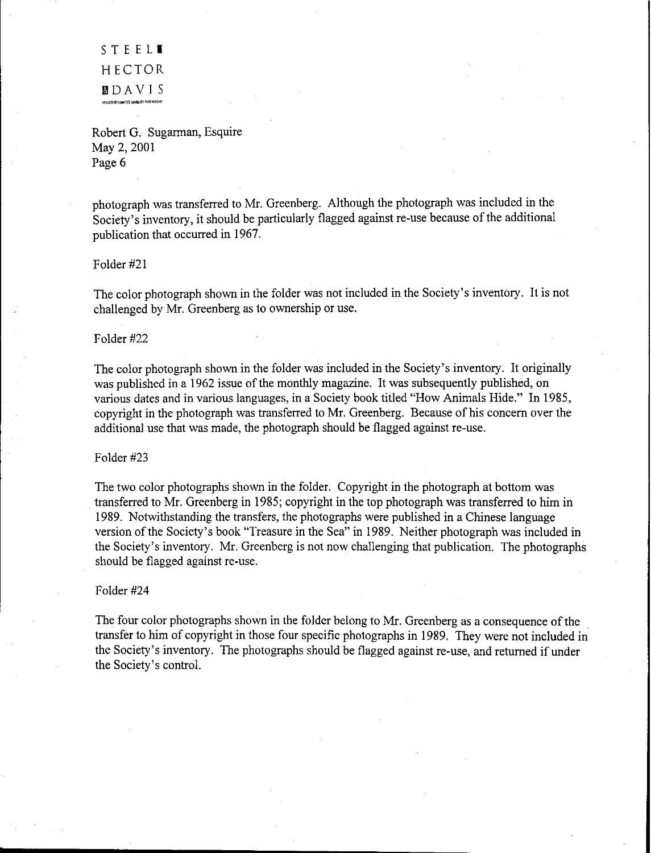STEELI HECTOR &lDAVIS excist FARG Lind (TED LABALITY PARTNERSH

Robert G. Sugarman, Esquire May 2, 2001 Page 6

photograph was transferred to Mr. Greenberg. Although the photograph was included in the Society's inventory, it should be particularly flagged against re-use because of the additional publication that occurred in 1967.

Folder #21

The color photograph shown in the folder was not included in the Society's inventory. It is not challenged by Mr. Greenberg as to ownership or use.

#### Folder #22

The color photograph shown in the folder was included in the Society's inventory. It originally was published in a 1962 issue of the monthly magazine. It was subsequently published, on various dates and in various languages, in a Society book titled "How Animals Hide." In 1985, copyright in the photograph was transferred to Mr. Greenberg. Because of his concern over the additional use that was made, the photograph should be flagged against re-use.

#### Folder #23

The two color photographs shown in the folder. Copyright in the photograph at bottom was transferred to Mr. Greenberg in 1985; copyright in the top photograph was transferred to him in 1989. Notwithstanding the transfers, the photographs were published in a Chinese language version of the Society's book "Treasure in the Sea" in 1989. Neither photograph was included in the Society's inventory. Mr. Greenberg is not now Challenging that publication. The photographs should be flagged against re-use.

#### Folder #24

The four color photographs shown in the folder belong to Mr. Greenberg as a consequence of the transfer to him of copyright in those four specific photographs in 1989. They were not included in the Society's inventory. The photographs should be flagged against re-use, and returned if under the Society's control.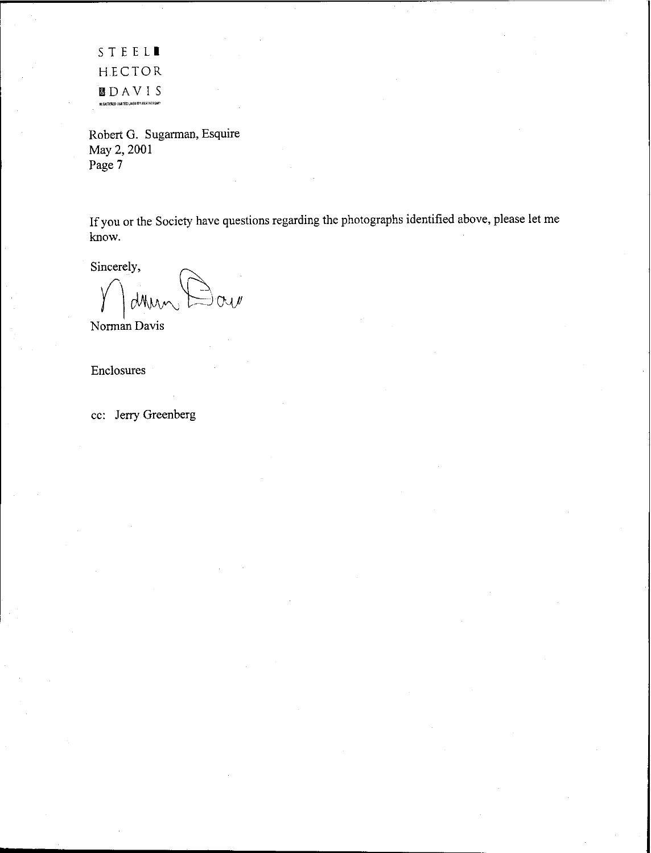STEELI HECTOR &lDAVIS .<br>"Registered Limited Liabury Partnership"

Robert G. Sugarman, Esquire May 2, 2001 Page 7

If you or the Society have questions regarding the photographs identified above, please let me know.

Sincerely,

 $\overline{O}$ 

Norman Davis

Enclosures

cc: Jerry Greenberg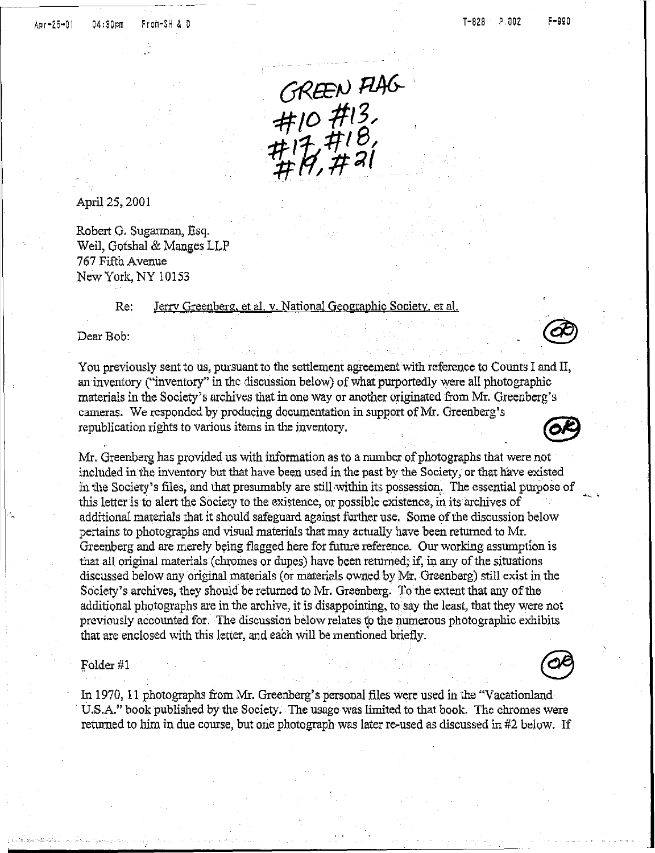GREEN FLAG<br>#10#13,<br>#17,#18,<br>#17,#21

April25, 2001

Robert G, Sugarman, Esq. Weil, Gotshal& MangesLLP 767 Fifth Avenue New York, NY 10153

> Re: Jerry Greenberg, et al. v. National Geographic Society, et al.

Dear Bob:

You previously sent to us, pursuant to the settlement agreement with reference to Counts I and II, an inventory ("inventory" in the discussion below) of what purportedly were all photographic materials in the Society's archives that in one way or another originated from Mr. Greenberg's cameras. We responded by producing documentation in supportof Mr. Greenberg's republication rights to various items in the inventory.

Mr. Greenberg has provided us with information as to a number of photographs that were not included in the inventory but that have been used in the past by the Society, or that have existed in the Society's files, and that presumably are stillwithin its possession. The essentialpurpose of this letter is to alert the Society to the existence, or possible existence, in its archives of additional materials that it should safeguard against further use. Some of the discussion below pertains to photographs and visual materials that may actually have been returned to Mr. Greenberg and are merely being flagged here for future reference. Our working assumption is that all original materials (chromes or dupes) have been returned; if, in any of the situations discussed below any original materials (or materials owned by Mr. Greenberg) still exist in the Society's archives, they should be returned to Mr. Greenberg. To the extent that any of the additional photographs are in the archive, it is disappointing, to say the least, that they were not previously accounted for. The discussion below relates to the numerous photographic exhibits that are enclosed with this letter, and each will be mentioned briefly.

#### folder #1

In 1970, 11 photographs from Mr. Greenberg's personal files were used in the "Vacationland U.S.A." book published by the Society. The usage was limited to that book. The chromes were returned to him in due course, but one photograph was later re-used as discussed in #2 below. If



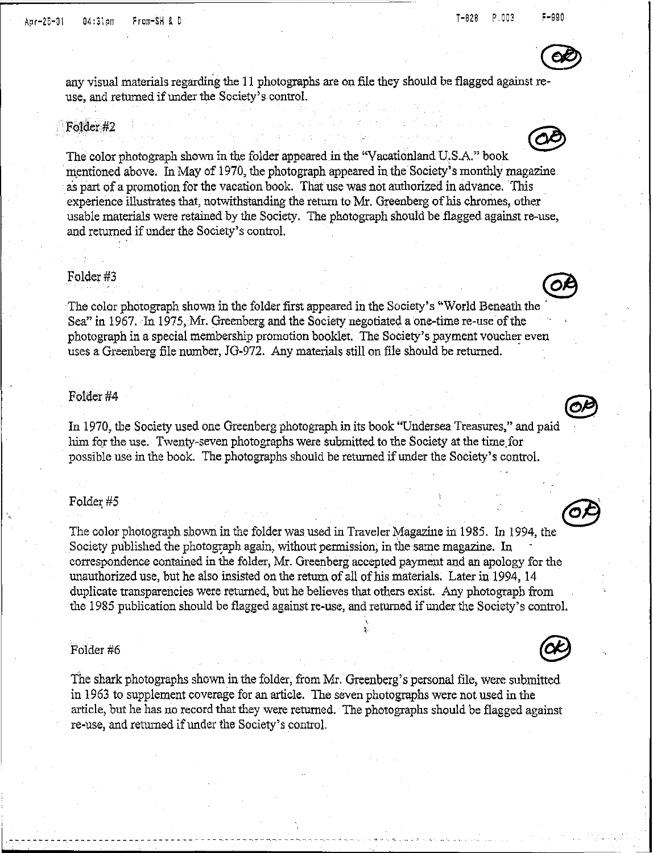

any visual materials regarding the 11 photographs are on file they should be flagged against reuse, and returned if under the Society's control.

#### Folder#2



as part of a promotion for the vacation book. That use was not authorized in advance. This experience illustrates that, notwithstanding the return to Mr. Greenberg of his chromes, other usable materials were retained by the Society. The photograph should be flagged againstre-use, and returned if under the Society's control.

#### Folder#3

The color photograph shown in the folder first appeared in the Society's "World Beneath the Sea" in 1967. In 1975, Mr. Greenberg and the Society negotiated a one-time re-use of the photograph in a special membership promotion booklet. The Society's payment voucher even uses a Greenberg file number, JG-972. Any materials still on file should be returned.

#### Folder#4

ty at the time for<br>the Society's control.

#### $Folder~#5$

, .

1\_ - - - - -- -- - - - <sup>u</sup> - <sup>m</sup> <sup>u</sup> - - - - - - -- - - \_\_ - <sup>u</sup> - - - - - - - - - - - - - - - - \_.-

.. The color photograph shownin the folder was used in Traveler Magazine in 1985. In 1994, the Society published the photograph again, without permission; in the same magazine. In correspondence contained in the folder, Mr. Greenberg accepted payment and an apology for the unauthorized use, but he also insisted on the return of all of his materials. Later in 1994, 14 duplicate transparencies were returned, but he believes that others exist. Any photograph from the 1985 publication should be flagged against re-use, and returned if under the Society's control.

#### Folder #6

The shark photographs shown in the folder, from Mr. Greenberg's personal file, were submitted in 1963 to supplement coverage for an article. The seven photographs were not used in the article, but he has no record that they were returned. The photographs should be flagged against re-use, and returned if under the Society's control.





 $\circledcirc$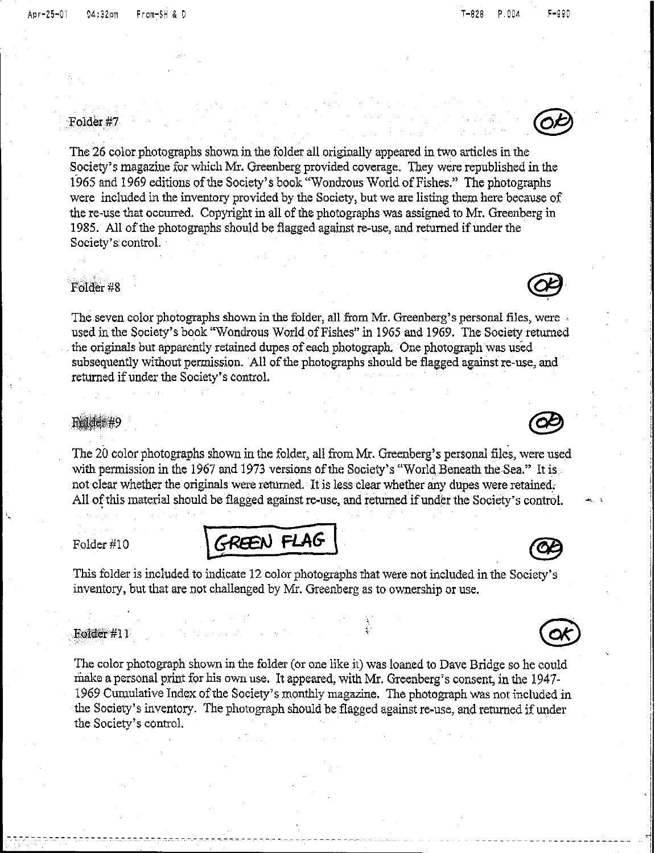### Folder#7

The 26 color photographs shown in the folder all originally appeared in two articles in the Society's magazine for which Mr. Greenberg provided coverage. They were republished in the 1965 and 1969 editions of the Society's book "Wondrous World of Fishes." The photographs were included in the inventory provided by the Society, but we are listing them here because of the re-use that occurred. Copyright in all of the photographs was assigned to Mr. Greenberg in 1985. All of the photographs should be flagged against re-use, and returned if under the Society's'control.

## Folder #8  $\qquad \qquad \qquad \qquad \qquad \qquad \textbf{C}$

The seven color photographs shown in the folder, all from Mr. Greenberg's personal files, were . used in the Society's book "Wondrous Worldof Fishes"in 1965 and 1969. The Society returned the originals but apparently retained dupes of each photograph. One photograph was used subsequently without permission. All of the photographs should be flagged against re-use, and returned if under the Society's control.

#### **Folder#9**

The 20 color photographs shown in the folder, all from Mr. Greenberg's personal files, were used with permission in the 1967 and 1973 versions of the Society's "World Beneath the Sea." It is not clear whether the originals were returned. It is less clear whether any dupes were retained, All of this material should be flagged against re-use, and returned if under the Society's control.

### $Folder #10$   $\bigg\{$  GREEN FLAG

This folder is included to indicate 12 color photographs that were not included in the Society's inventory, but that are not challenged by Mr. Greenberg as to ownership or use.

#### Folder #11

**------------------------------------------------------**- - - - -

The color photograph shown in the folder (or one like it) was loaned to Dave Bridge so he could make a personal print for his own use. It appeared, with Mr. Greenberg's consent, in the 1947-1969Cumulative Index of the Society's monthly magazine. TIle photograph was not included in the Society's inventory. The photograph should be flagged against re-use, and returned if under the Society's control.



 $\bigodot$ 

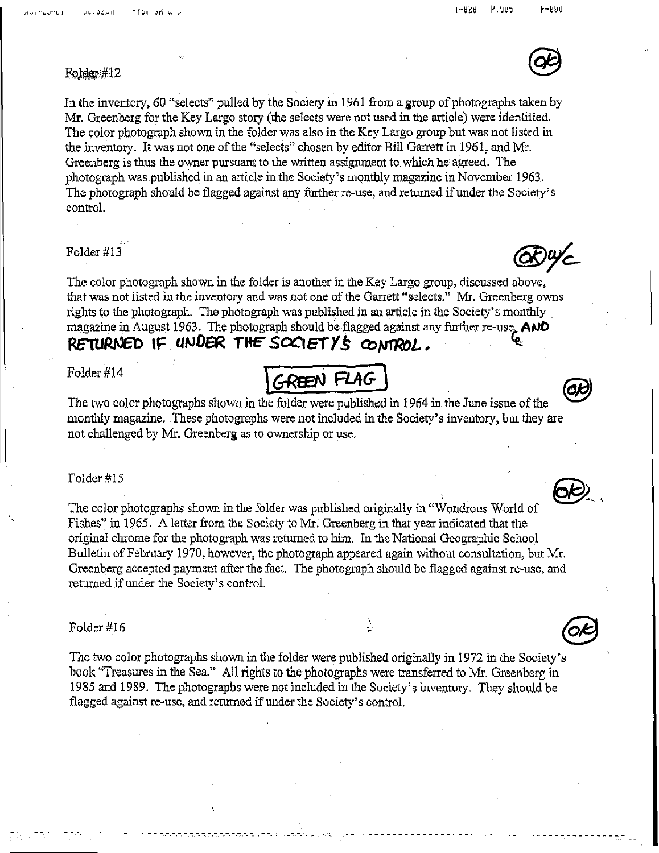P.uus  $1 - 828$ 

#### -чян

# Folder#12  $\qquad \qquad \qquad \mathbf{G}$

In the inventory, 60 "selects" pulled by the Society in 1961 from a group of photographs taken by Mr. Greenberg for the Key Largo story(the selectswere not used in the article)were identified. The color photograph shown in the folder was also in the Key Largo group but was not listed in the inventory. It was not one of the "selects" chosen by editor Bill Garrett in 1961, and Mr. Greenberg is thus the owner pursuant to the written assignment to which he agreed. The photograph was published in an article in the Society's monthly magazine in November 1963. The photograph should be flagged against any further re-use, and returned if under the Society's control.

#### Folder #13

The color photograph shown in the folder is another in the Key Largo group, discussed above, that was not listed in the inventory and was not one of the Garrett "selects." Mr. Greenberg owns rights to the photograph. The photograph was published in an article in the Society's monthly. magazine in August 1963. The photograph should be flagged against any further re-use. AND RETURNED IF UNDER THE SOCIETY'S CONTROL.

#### Folder#14

The two color photographs shown in the folder were published in 1964 in the June issue of the monthly magazine. These photographs were not included in the Society's inventory, but they are not challenged by Mr. Greenberg as to ownership or use.

**tG-Re:N** *FLAG- \*

#### Folder #15

The color photographs shown in the folder was published originally in "Wondrous World of Fishes" in 1965. A letter from the Society to Mr. Greenberg in that year indicated that the original chrome for the photograph was returned to him. In the National Geographic School Bulletin of February 1970, however, the photograph appeared again without consultation, but Mr. Greenberg accepted payment after the fact. The photograph should be flagged against re-use, and returned if under the Society's control.

#### Folder #16

The two color photographs shown in the folder were published originally in 1972 in the Society's book "Treasures in the Sea." All rights to the photographs were transferred to Mr. Greenberg in 1985 and 1989. The photographs were not includedin the Society's inventory. They should be flagged against re-use, and returned if under the Society's control.

**-------------------------------------------------------------------------------------------------------**



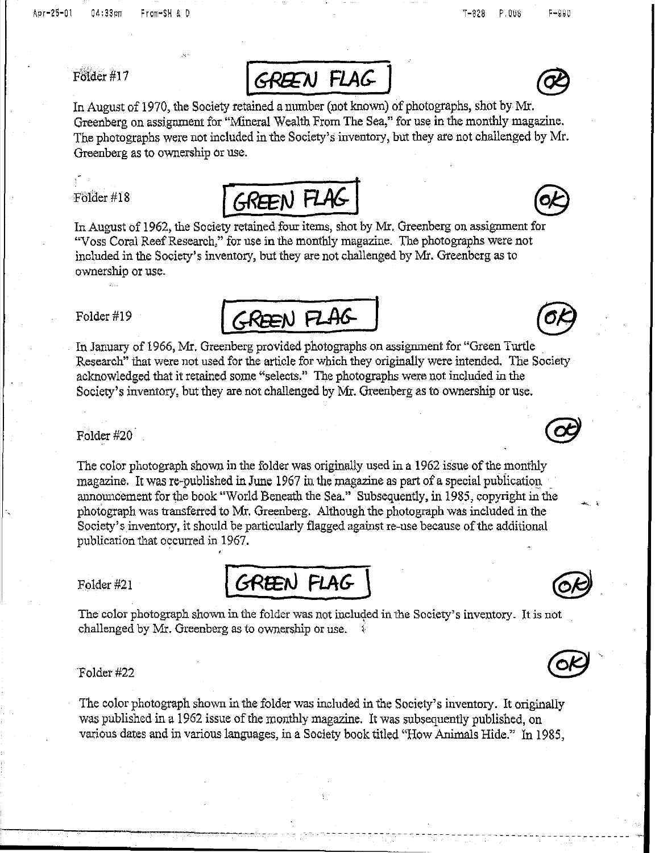

In August of 1970, the Society retained a number (not known) of photographs, shot by Mr. Greenberg on assignment for "Mineral Wealth From The Sea," for use in the monthly magazine. The photographs were not included in the Society's inventory, but they are not challenged by Mr. Greenberg as to ownership or use.



GREEN FLAG

In August of 1962, the Society retained four items, shot by Mr. Greenberg on assignment for "Voss Coral Reef Research," for use in the monthly magazine. The photographs were not included in the Society'sinventory, but they arenot challenged by Mr. Greenberg as to ownership or use.

Folder#19



The color photograph shown in the folder was originally used in a 1962 issue of the monthly magazine. It was re-published in June 1967 in the magazine as part of a special publication announcement for the book "World Beneath the Sea." Subsequently, in 1985, copyright in the photograph wastransferred to Mr. Greenberg. Although the photograph wasincluded in the Society's inventory, it should be particularly flagged against re-use because of the additional publication that occurred in 1967. ,

Folder #21

GREEN FLAG

The color photograph shown in the folder was not included in the Society's inventory. It is not challenged by Mr. Greenberg as to ownership or use.  $\sqrt{ }$ 

#### "Folder #22

--------- 'e\_ ,

The color photograph shown in the folder was included in the Society's inventory. It originally was published in a 1962 issue of the monthly magazine. It was subsequently published, on various dates and in various languages, in a Society book titled "How Animals Hide." In 1985,







~-------------------------------------------------- .~